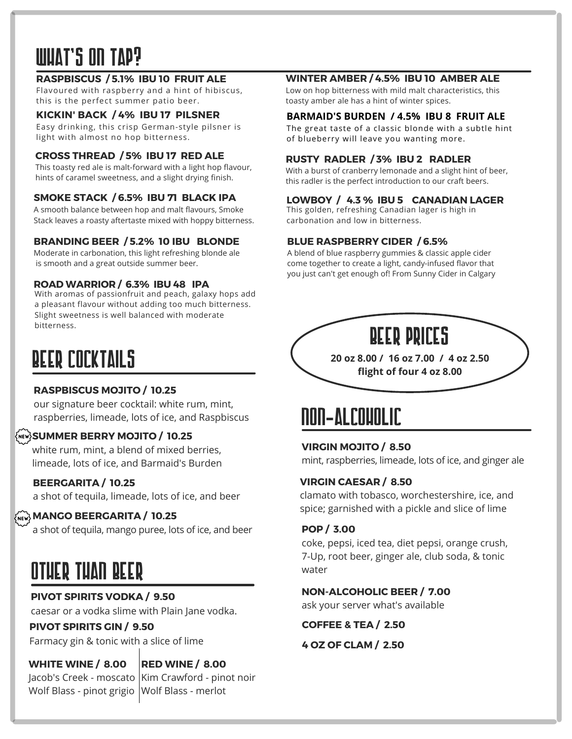# what's on tap?

# **RASPBISCUS / 5.1% IBU 10 FRUIT ALE**

Flavoured with raspberry and a hint of hibiscus, this is the perfect summer patio beer.

# **KICKIN' BACK / 4% IBU 17 PILSNER**

Easy drinking, this crisp German-style pilsner is light with almost no hop bitterness.

# **CROSS THREAD / 5% IBU 17 RED ALE**

This toasty red ale is malt-forward with a light hop flavour, hints of caramel sweetness, and a slight drying finish.

# **SMOKE STACK / 6.5% IBU 71 BLACK IPA**

A smooth balance between hop and malt flavours, Smoke Stack leaves a roasty aftertaste mixed with hoppy bitterness.

# **BRANDING BEER / 5.2% 10 IBU BLONDE**

Moderate in carbonation, this light refreshing blonde ale is smooth and a great outside summer beer.

#### **ROAD WARRIOR / 6.3% IBU 48 IPA**

With aromas of passionfruit and peach, galaxy hops add a pleasant flavour without adding too much bitterness. Slight sweetness is well balanced with moderate bitterness.

# BEER COCKTAILS

# **RASPBISCUS MOJITO / 10.25**

our signature beer cocktail: white rum, mint, raspberries, limeade, lots of ice, and Raspbiscus

# **SUMMER BERRY MOJITO / 10.25**

white rum, mint, a blend of mixed berries, limeade, lots of ice, and Barmaid's Burden

# **BEERGARITA / 10.25**

a shot of tequila, limeade, lots of ice, and beer

# **MANGO BEERGARITA / 10.25**

a shot of tequila, mango puree, lots of ice, and beer

# OTHER THAN BEER

# **PIVOT SPIRITS VODKA / 9.50**

caesar or a vodka slime with Plain Jane vodka.

# **PIVOT SPIRITS GIN / 9.50**

Farmacy gin & tonic with a slice of lime

# **WHITE WINE / 8.00**

**RED WINE / 8.00** Jacob's Creek - moscato |Kim Crawford - pinot noir Wolf Blass - pinot grigio |Wolf Blass - merlot

### **WINTER AMBER / 4.5% IBU 10 AMBER ALE**

Low on hop bitterness with mild malt characteristics, this toasty amber ale has a hint of winter spices.

# **BARMAID'S BURDEN / 4.5% IBU 8 FRUIT ALE**

The great taste of a classic blonde with a subtle hint of blueberry will leave you wanting more.

# **RUSTY RADLER / 3% IBU 2 RADLER**

With a burst of cranberry lemonade and a slight hint of beer, this radler is the perfect introduction to our craft beers.

# **LOWBOY / 4.3 % IBU 5 CANADIAN LAGER**

This golden, refreshing Canadian lager is high in carbonation and low in bitterness.

# **BLUE RASPBERRY CIDER / 6.5%**

A blend of blue raspberry gummies & classic apple cider come together to create a light, candy-infused flavor that you just can't get enough of! From Sunny Cider in Calgary



**20 oz 8.00 / 16 oz 7.00 / 4 oz 2.50 flight of four 4 oz 8.00**

# NON-ALCOHOLIC

# **VIRGIN MOJITO / 8.50**

mint, raspberries, limeade, lots of ice, and ginger ale

#### **VIRGIN CAESAR / 8.50**

clamato with tobasco, worchestershire, ice, and spice; garnished with a pickle and slice of lime

# **POP / 3.00**

coke, pepsi, iced tea, diet pepsi, orange crush, 7-Up, root beer, ginger ale, club soda, & tonic water

# **NON-ALCOHOLIC BEER / 7.00**

ask your server what's available

**COFFEE & TEA / 2.50**

**4 OZ OF CLAM / 2.50**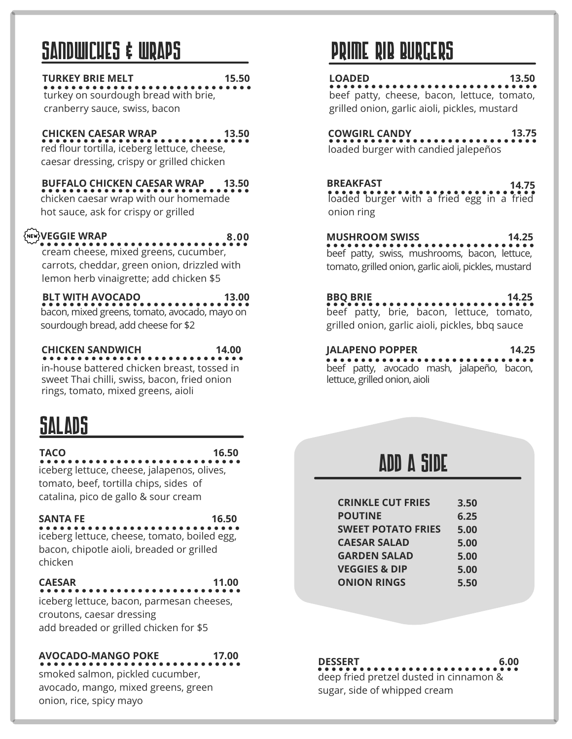# SANDWICHES & WRAPS

# **TURKEY BRIE MELT 15.50**

turkey on sourdough bread with brie, cranberry sauce, swiss, bacon

# **CHICKEN CAESAR WRAP 13.50**

red flour tortilla, iceberg lettuce, cheese, caesar dressing, crispy or grilled chicken

# **BUFFALO CHICKEN CAESAR WRAP 13.50**

chicken caesar wrap with our homemade hot sauce, ask for crispy or grilled

# **VEGGIE WRAP**

**8.00** cream cheese, mixed greens, cucumber,

carrots, cheddar, green onion, drizzled with lemon herb vinaigrette; add chicken \$5

#### **BLT WITH AVOCADO 13.00**

bacon, mixed greens, tomato, avocado, mayo on sourdough bread, add cheese for \$2

# **CHICKEN SANDWICH 14.00**

in-house battered chicken breast, tossed in sweet Thai chilli, swiss, bacon, fried onion rings, tomato, mixed greens, aioli

# SALADS

**TACO 16.50**

iceberg lettuce, cheese, jalapenos, olives, tomato, beef, tortilla chips, sides of catalina, pico de gallo & sour cream

# **SANTA FE 16.50**

iceberg lettuce, cheese, tomato, boiled egg, bacon, chipotle aioli, breaded or grilled chicken

# **CAESAR 11.00**

iceberg lettuce, bacon, parmesan cheeses, croutons, caesar dressing add breaded or grilled chicken for \$5

# **AVOCADO-MANGO POKE 17.00**

smoked salmon, pickled cucumber, avocado, mango, mixed greens, green onion, rice, spicy mayo

# PRIME RIB BURGERS

# **LOADED 13.50**

beef patty, cheese, bacon, lettuce, tomato, grilled onion, garlic aioli, pickles, mustard

# **COWGIRL CANDY 13.75**

loaded burger with candied jalepeños

# **BREAKFAST 14.75**

loaded burger with a fried egg in a fried onion ring

beef patty, swiss, mushrooms, bacon, lettuce, tomato, grilled onion, garlic aioli, pickles, mustard **MUSHROOM SWISS 14.25**

# **BBQ BRIE 14.25**

beef patty, brie, bacon, lettuce, tomato, grilled onion, garlic aioli, pickles, bbq sauce

# **JALAPENO POPPER 14.25**

beef patty, avocado mash, jalapeño, bacon, lettuce, grilled onion, aioli

# ADD A SIDE

| <b>CRINKLE CUT FRIES</b>  | 3.50 |
|---------------------------|------|
| <b>POUTINE</b>            | 6.25 |
| <b>SWEET POTATO FRIES</b> | 5.00 |
| <b>CAESAR SALAD</b>       | 5.00 |
| <b>GARDEN SALAD</b>       | 5.00 |
| <b>VEGGIES &amp; DIP</b>  | 5.00 |
| <b>ONION RINGS</b>        | 5.50 |
|                           |      |

**DESSERT** deep fried pretzel dusted in cinnamon & sugar, side of whipped cream **6.00**